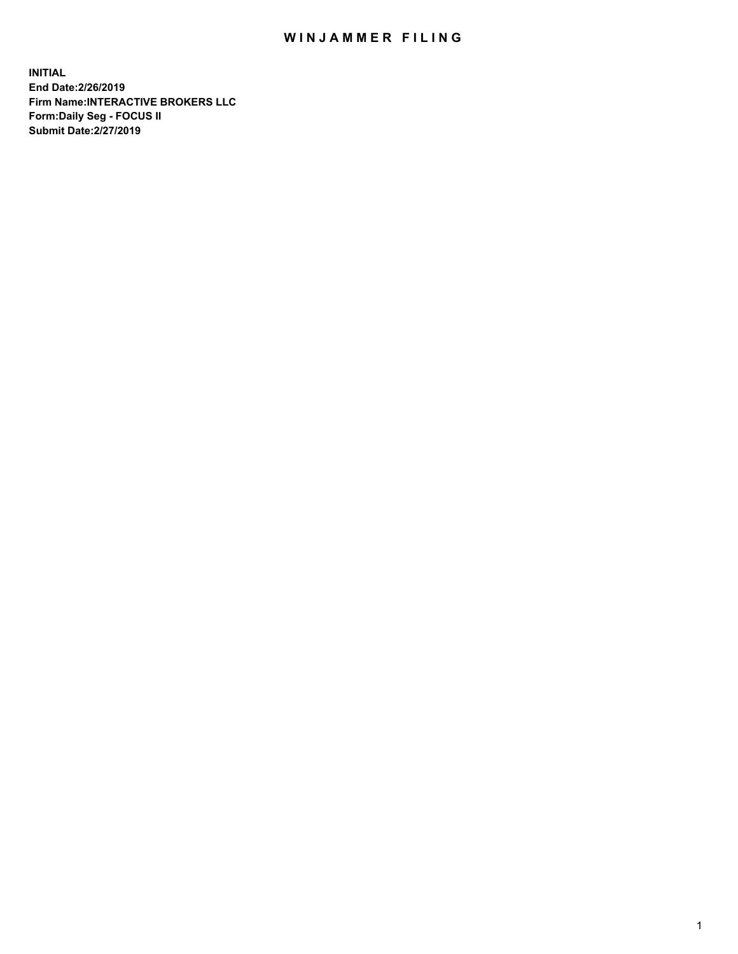## WIN JAMMER FILING

**INITIAL End Date:2/26/2019 Firm Name:INTERACTIVE BROKERS LLC Form:Daily Seg - FOCUS II Submit Date:2/27/2019**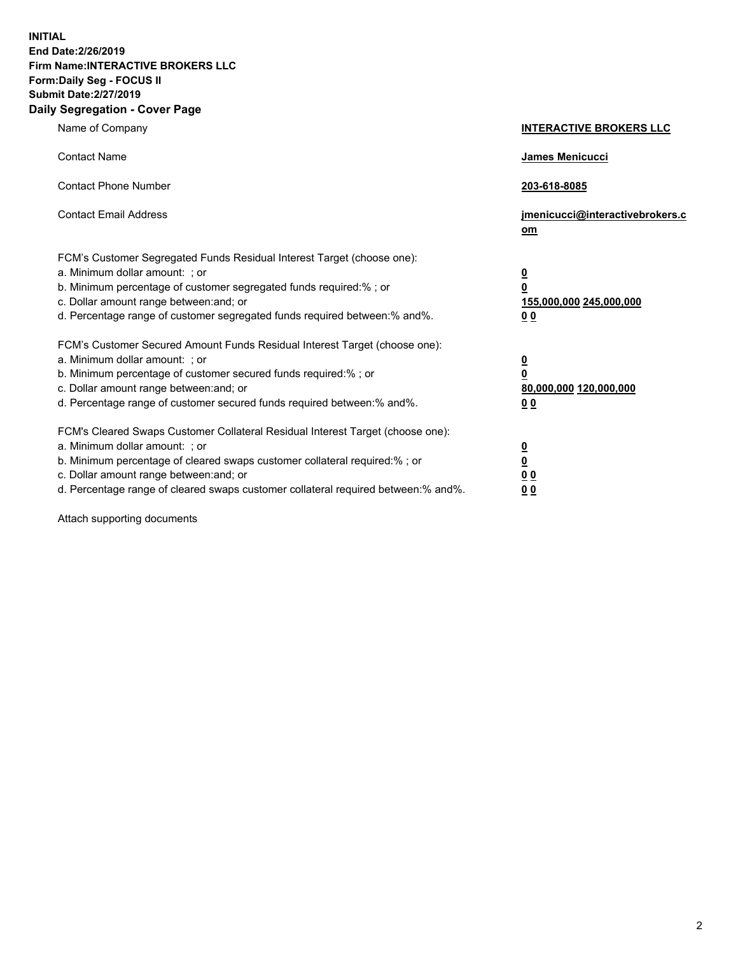**INITIAL End Date:2/26/2019 Firm Name:INTERACTIVE BROKERS LLC Form:Daily Seg - FOCUS II Submit Date:2/27/2019 Daily Segregation - Cover Page**

| Name of Company                                                                                                                                                                                                                                                                                                                | <b>INTERACTIVE BROKERS LLC</b>                                                                  |
|--------------------------------------------------------------------------------------------------------------------------------------------------------------------------------------------------------------------------------------------------------------------------------------------------------------------------------|-------------------------------------------------------------------------------------------------|
| <b>Contact Name</b>                                                                                                                                                                                                                                                                                                            | James Menicucci                                                                                 |
| <b>Contact Phone Number</b>                                                                                                                                                                                                                                                                                                    | 203-618-8085                                                                                    |
| <b>Contact Email Address</b>                                                                                                                                                                                                                                                                                                   | jmenicucci@interactivebrokers.c<br>om                                                           |
| FCM's Customer Segregated Funds Residual Interest Target (choose one):<br>a. Minimum dollar amount: ; or<br>b. Minimum percentage of customer segregated funds required:% ; or<br>c. Dollar amount range between: and; or<br>d. Percentage range of customer segregated funds required between:% and%.                         | $\overline{\mathbf{0}}$<br>$\overline{\mathbf{0}}$<br>155,000,000 245,000,000<br>0 <sub>0</sub> |
| FCM's Customer Secured Amount Funds Residual Interest Target (choose one):<br>a. Minimum dollar amount: ; or<br>b. Minimum percentage of customer secured funds required:% ; or<br>c. Dollar amount range between: and; or<br>d. Percentage range of customer secured funds required between:% and%.                           | $\overline{\mathbf{0}}$<br>0<br>80,000,000 120,000,000<br>0 <sub>0</sub>                        |
| FCM's Cleared Swaps Customer Collateral Residual Interest Target (choose one):<br>a. Minimum dollar amount: ; or<br>b. Minimum percentage of cleared swaps customer collateral required:% ; or<br>c. Dollar amount range between: and; or<br>d. Percentage range of cleared swaps customer collateral required between:% and%. | $\overline{\mathbf{0}}$<br><u>0</u><br>$\underline{0}$ $\underline{0}$<br>00                    |

Attach supporting documents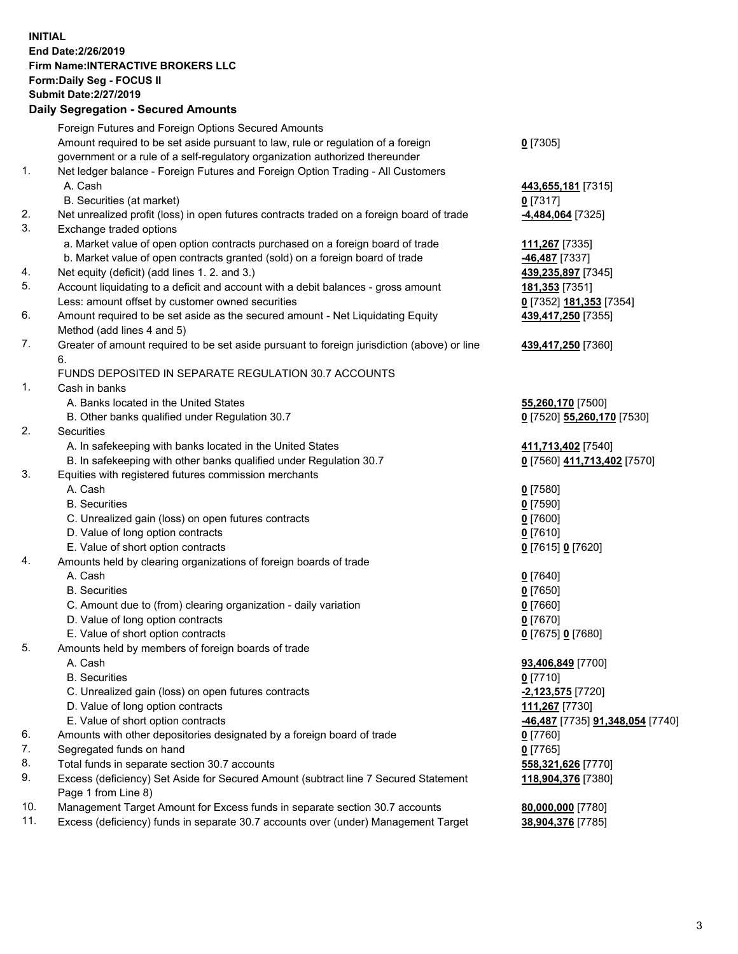## **INITIAL End Date:2/26/2019 Firm Name:INTERACTIVE BROKERS LLC Form:Daily Seg - FOCUS II Submit Date:2/27/2019 Daily Segregation - Secured Amounts**

|                | Dany Ocgregation - Oceaned Anioante                                                         |                                                      |
|----------------|---------------------------------------------------------------------------------------------|------------------------------------------------------|
|                | Foreign Futures and Foreign Options Secured Amounts                                         |                                                      |
|                | Amount required to be set aside pursuant to law, rule or regulation of a foreign            | $0$ [7305]                                           |
|                | government or a rule of a self-regulatory organization authorized thereunder                |                                                      |
| 1.             | Net ledger balance - Foreign Futures and Foreign Option Trading - All Customers             |                                                      |
|                | A. Cash                                                                                     | 443,655,181 [7315]                                   |
|                | B. Securities (at market)                                                                   | $0$ [7317]                                           |
| 2.             | Net unrealized profit (loss) in open futures contracts traded on a foreign board of trade   | -4,484,064 [7325]                                    |
| 3.             | Exchange traded options                                                                     |                                                      |
|                | a. Market value of open option contracts purchased on a foreign board of trade              | 111,267 [7335]                                       |
|                | b. Market value of open contracts granted (sold) on a foreign board of trade                | -46,487 [7337]                                       |
| 4.             | Net equity (deficit) (add lines 1. 2. and 3.)                                               | 439,235,897 [7345]                                   |
| 5.             | Account liquidating to a deficit and account with a debit balances - gross amount           | 181,353 [7351]                                       |
|                | Less: amount offset by customer owned securities                                            | 0 [7352] 181,353 [7354]                              |
| 6.             | Amount required to be set aside as the secured amount - Net Liquidating Equity              | 439,417,250 [7355]                                   |
|                | Method (add lines 4 and 5)                                                                  |                                                      |
| 7.             | Greater of amount required to be set aside pursuant to foreign jurisdiction (above) or line | 439,417,250 [7360]                                   |
|                | 6.                                                                                          |                                                      |
|                | FUNDS DEPOSITED IN SEPARATE REGULATION 30.7 ACCOUNTS                                        |                                                      |
| $\mathbf{1}$ . | Cash in banks                                                                               |                                                      |
|                | A. Banks located in the United States                                                       | 55,260,170 [7500]                                    |
|                | B. Other banks qualified under Regulation 30.7                                              | 0 [7520] 55,260,170 [7530]                           |
| 2.             | Securities                                                                                  |                                                      |
|                | A. In safekeeping with banks located in the United States                                   | 411,713,402 [7540]                                   |
|                | B. In safekeeping with other banks qualified under Regulation 30.7                          | 0 [7560] 411,713,402 [7570]                          |
| 3.             | Equities with registered futures commission merchants                                       |                                                      |
|                | A. Cash                                                                                     | $0$ [7580]                                           |
|                | <b>B.</b> Securities                                                                        | $0$ [7590]                                           |
|                | C. Unrealized gain (loss) on open futures contracts                                         | $0$ [7600]                                           |
|                | D. Value of long option contracts                                                           | $0$ [7610]                                           |
|                | E. Value of short option contracts                                                          | 0 [7615] 0 [7620]                                    |
| 4.             | Amounts held by clearing organizations of foreign boards of trade                           |                                                      |
|                | A. Cash                                                                                     | $0$ [7640]                                           |
|                | <b>B.</b> Securities                                                                        | $0$ [7650]                                           |
|                | C. Amount due to (from) clearing organization - daily variation                             | $0$ [7660]                                           |
|                | D. Value of long option contracts<br>E. Value of short option contracts                     | $0$ [7670]                                           |
| 5.             |                                                                                             | 0 [7675] 0 [7680]                                    |
|                | Amounts held by members of foreign boards of trade<br>A. Cash                               | 93,406,849 [7700]                                    |
|                | <b>B.</b> Securities                                                                        | $0$ [7710]                                           |
|                | C. Unrealized gain (loss) on open futures contracts                                         | -2,123,575 [7720]                                    |
|                | D. Value of long option contracts                                                           | 111,267 [7730]                                       |
|                | E. Value of short option contracts                                                          | <mark>-46,487</mark> [7735] <b>91,348,054</b> [7740] |
| 6.             | Amounts with other depositories designated by a foreign board of trade                      | 0 [7760]                                             |
| 7.             | Segregated funds on hand                                                                    | $0$ [7765]                                           |
| 8.             | Total funds in separate section 30.7 accounts                                               | 558,321,626 [7770]                                   |
| 9.             | Excess (deficiency) Set Aside for Secured Amount (subtract line 7 Secured Statement         | 118,904,376 [7380]                                   |
|                | Page 1 from Line 8)                                                                         |                                                      |
| 10.            | Management Target Amount for Excess funds in separate section 30.7 accounts                 | 80,000,000 [7780]                                    |
| 11.            | Excess (deficiency) funds in separate 30.7 accounts over (under) Management Target          | 38,904,376 [7785]                                    |
|                |                                                                                             |                                                      |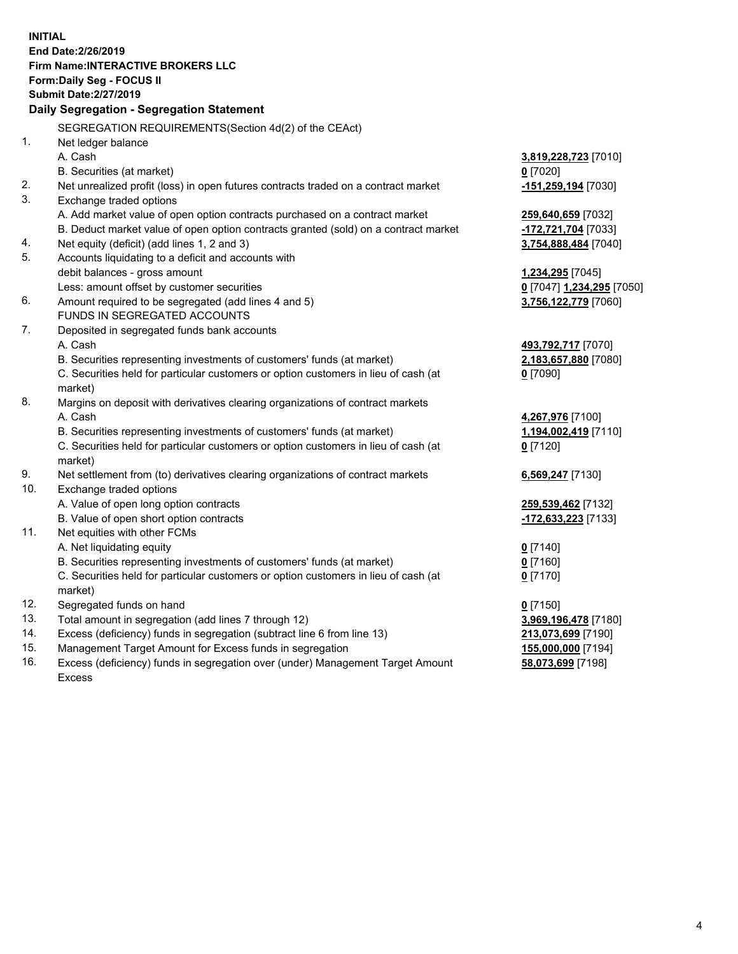**INITIAL End Date:2/26/2019 Firm Name:INTERACTIVE BROKERS LLC Form:Daily Seg - FOCUS II Submit Date:2/27/2019 Daily Segregation - Segregation Statement** SEGREGATION REQUIREMENTS(Section 4d(2) of the CEAct) 1. Net ledger balance A. Cash **3,819,228,723** [7010] B. Securities (at market) **0** [7020] 2. Net unrealized profit (loss) in open futures contracts traded on a contract market **-151,259,194** [7030] 3. Exchange traded options A. Add market value of open option contracts purchased on a contract market **259,640,659** [7032] B. Deduct market value of open option contracts granted (sold) on a contract market **-172,721,704** [7033] 4. Net equity (deficit) (add lines 1, 2 and 3) **3,754,888,484** [7040] 5. Accounts liquidating to a deficit and accounts with debit balances - gross amount **1,234,295** [7045] Less: amount offset by customer securities **0** [7047] **1,234,295** [7050] 6. Amount required to be segregated (add lines 4 and 5) **3,756,122,779** [7060] FUNDS IN SEGREGATED ACCOUNTS 7. Deposited in segregated funds bank accounts A. Cash **493,792,717** [7070] B. Securities representing investments of customers' funds (at market) **2,183,657,880** [7080] C. Securities held for particular customers or option customers in lieu of cash (at market) **0** [7090] 8. Margins on deposit with derivatives clearing organizations of contract markets A. Cash **4,267,976** [7100] B. Securities representing investments of customers' funds (at market) **1,194,002,419** [7110] C. Securities held for particular customers or option customers in lieu of cash (at market) **0** [7120] 9. Net settlement from (to) derivatives clearing organizations of contract markets **6,569,247** [7130] 10. Exchange traded options A. Value of open long option contracts **259,539,462** [7132] B. Value of open short option contracts **-172,633,223** [7133] 11. Net equities with other FCMs A. Net liquidating equity **0** [7140] B. Securities representing investments of customers' funds (at market) **0** [7160] C. Securities held for particular customers or option customers in lieu of cash (at market) **0** [7170] 12. Segregated funds on hand **0** [7150] 13. Total amount in segregation (add lines 7 through 12) **3,969,196,478** [7180] 14. Excess (deficiency) funds in segregation (subtract line 6 from line 13) **213,073,699** [7190] 15. Management Target Amount for Excess funds in segregation **155,000,000** [7194] **58,073,699** [7198]

16. Excess (deficiency) funds in segregation over (under) Management Target Amount Excess